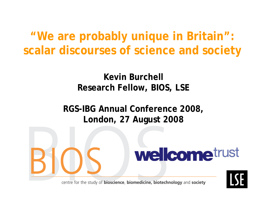**"We are probably unique in Britain": scalar discourses of science and society**

#### **Kevin Burchell Research Fellow, BIOS, LSE**

**RGS-IBG Annual Conference 2008, London, 27 August 2008**



centre for the study of bioscience, biomedicine, biotechnology and society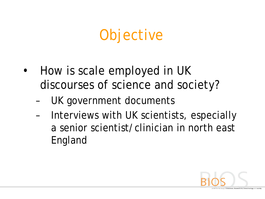# **Objective**

- How is scale employed in UK discourses of science and society?
	- UK government documents
	- Interviews with UK scientists, especially a senior scientist/clinician in north east England

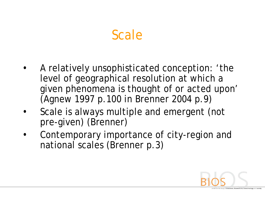## Scale

- A relatively unsophisticated conception: 'the level of geographical resolution at which a given phenomena is thought of or acted upon' (Agnew 1997 p.100 in Brenner 2004 p.9)
- Scale is always multiple and emergent (not pre-given) (Brenner)
- Contemporary importance of city-region and national scales (Brenner p.3)

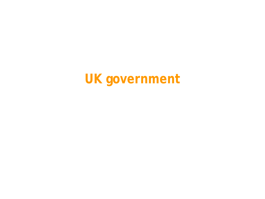## **UK government**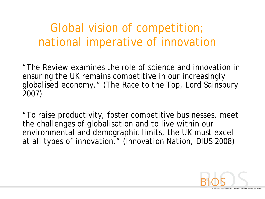### *Global* vision of competition; *national* imperative of innovation

"The Review examines the role of science and innovation in ensuring the UK remains competitive in our increasingly globalised economy." (*The Race to the Top*, Lord Sainsbury 2007)

"To raise productivity, foster competitive businesses, meet the challenges of globalisation and to live within our environmental and demographic limits, the UK must excel at all types of innovation." (*Innovation Nation*, DIUS 2008)

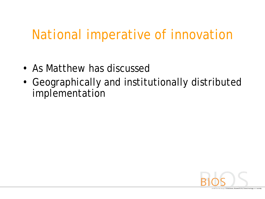### *National* imperative of innovation

- As Matthew has discussed
- Geographically and institutionally distributed implementation

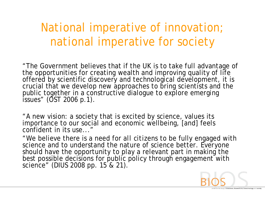#### *National* imperative of innovation; *national* imperative for society

"The Government believes that if the UK is to take full advantage of the opportunities for creating wealth and improving quality of life offered by scientific discovery and technological development, it is crucial that we develop new approaches to bring scientists and the public together in a constructive dialogue to explore emerging issues" (OST 2006 p.1).

"A new vision: a *society* that is excited by science, values its importance to our social and economic wellbeing, [and] feels confident in its use..."

"We believe there is a need for *all citizens* to be fully engaged with science and to understand the nature of science better. *Everyone* should have the opportunity to play a relevant part in making the best possible decisions for public policy through engagement with science" (DIUS 2008 pp. 15 & 21).

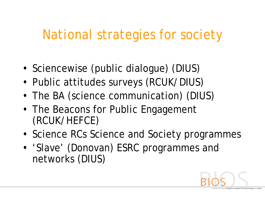### *National* strategies for society

- Sciencewise (public dialogue) (DIUS)
- Public attitudes surveys (RCUK/DIUS)
- The BA (science communication) (DIUS)
- The Beacons for Public Engagement (RCUK/HEFCE)
- Science RCs Science and Society programmes
- 'Slave' (Donovan) ESRC programmes and networks (DIUS)

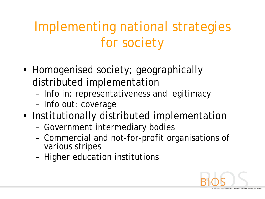# Implementing national strategies for society

- Homogenised society; geographically distributed implementation
	- Info in: representativeness and legitimacy
	- Info out: coverage
- Institutionally distributed implementation
	- Government intermediary bodies
	- Commercial and not-for-profit organisations of various stripes
	- Higher education institutions

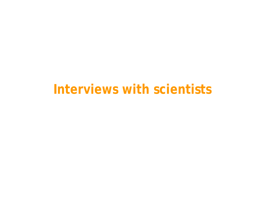#### **Interviews with scientists**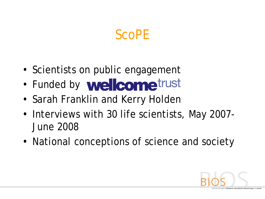### ScoPE

- Scientists on public engagement
- Funded by **wellcome**trust
- Sarah Franklin and Kerry Holden
- Interviews with 30 life scientists, May 2007- June 2008
- National conceptions of science and society

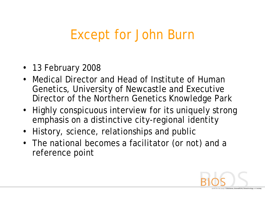### Except for John Burn

- 13 February 2008
- Medical Director and Head of Institute of Human Genetics, University of Newcastle *and* Executive Director of the Northern Genetics Knowledge Park
- Highly conspicuous interview for its uniquely strong emphasis on a distinctive city-regional identity
- History, science, relationships and public
- The national becomes a facilitator (or not) and a reference point

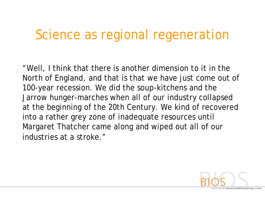### Science as regional regeneration

"Well, I think that there is another dimension to it in the North of England, and that is that we have just come out of 100-year recession. We did the soup-kitchens and the Jarrow hunger-marches when all of our industry collapsed at the beginning of the 20th Century. We kind of recovered into a rather grey zone of inadequate resources until Margaret Thatcher came along and wiped out all of our industries at a stroke."

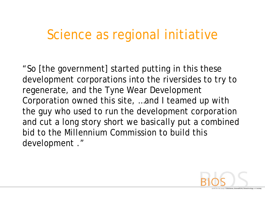#### Science as regional initiative

"So [the government] started putting in this these development corporations into the riversides to try to regenerate, and the Tyne Wear Development Corporation owned this site, …and I teamed up with the guy who used to run the development corporation and cut a long story short we basically put a combined bid to the Millennium Commission to build this development ."

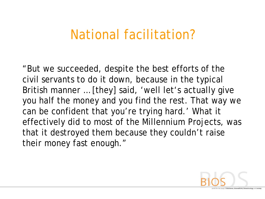#### National facilitation?

"But we succeeded, despite the best efforts of the civil servants to do it down, because in the typical British manner … [they] said, 'well let's actually give you half the money and you find the rest. That way we can be confident that you're trying hard.' What it effectively did to most of the Millennium Projects, was that it destroyed them because they couldn't raise their money fast enough."

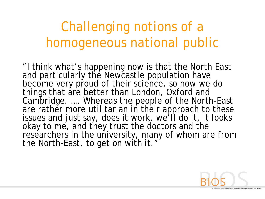# Challenging notions of a homogeneous national public

"I think what's happening now is that the North East and particularly the Newcastle population have become very proud of their science, so now we do things that are better than London, Oxford and Cambridge. …. Whereas the people of the North-East are rather more utilitarian in their approach to these issues and just say, does it work, we'll do it, it looks okay to me, and they trust the doctors and the researchers in the university, many of whom are from the North-East, to get on with it."

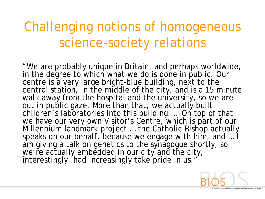# Challenging notions of homogeneous science-society relations

"We are probably unique in Britain, and perhaps worldwide, in the degree to which what we do is done in public. Our centre is a very large bright-blue building, next to the central station, in the middle of the city, and is a 15 minute walk away from the hospital and the university, so we are out in public gaze. More than that, we actually built children's laboratories into this building. … On top of that we have our very own Visitor's Centre, which is part of our Millennium landmark project … the Catholic Bishop actually speaks on our behalf, because we engage with him, and … I am giving a talk on genetics to the synagogue shortly, so we're actually embedded in our city and the city, interestingly, had increasingly take pride in us."

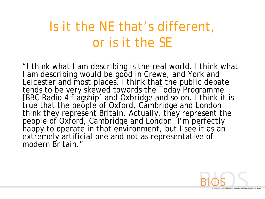# Is it the NE that's different, or is it the SE

"I think what I am describing is the real world. I think what I am describing would be good in Crewe, and York and Leicester and most places. I think that the public debate tends to be very skewed towards the Today Programme [BBC Radio 4 flagship] and Oxbridge and so on. I think it is true that the people of Oxford, Cambridge and London think they represent Britain. Actually, they represent the people of Oxford, Cambridge and London. I'm perfectly happy to operate in that environment, but I see it as an extremely artificial one and not as representative of modern Britain."

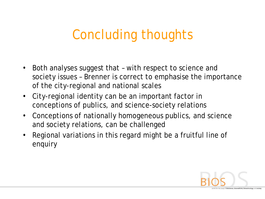# Concluding thoughts

- Both analyses suggest that with respect to science and society issues – Brenner is correct to emphasise the importance of the city-regional and national scales
- City-regional identity can be an important factor in conceptions of publics, and science-society relations
- Conceptions of nationally homogeneous publics, and science and society relations, can be challenged
- Regional variations in this regard might be a fruitful line of enquiry